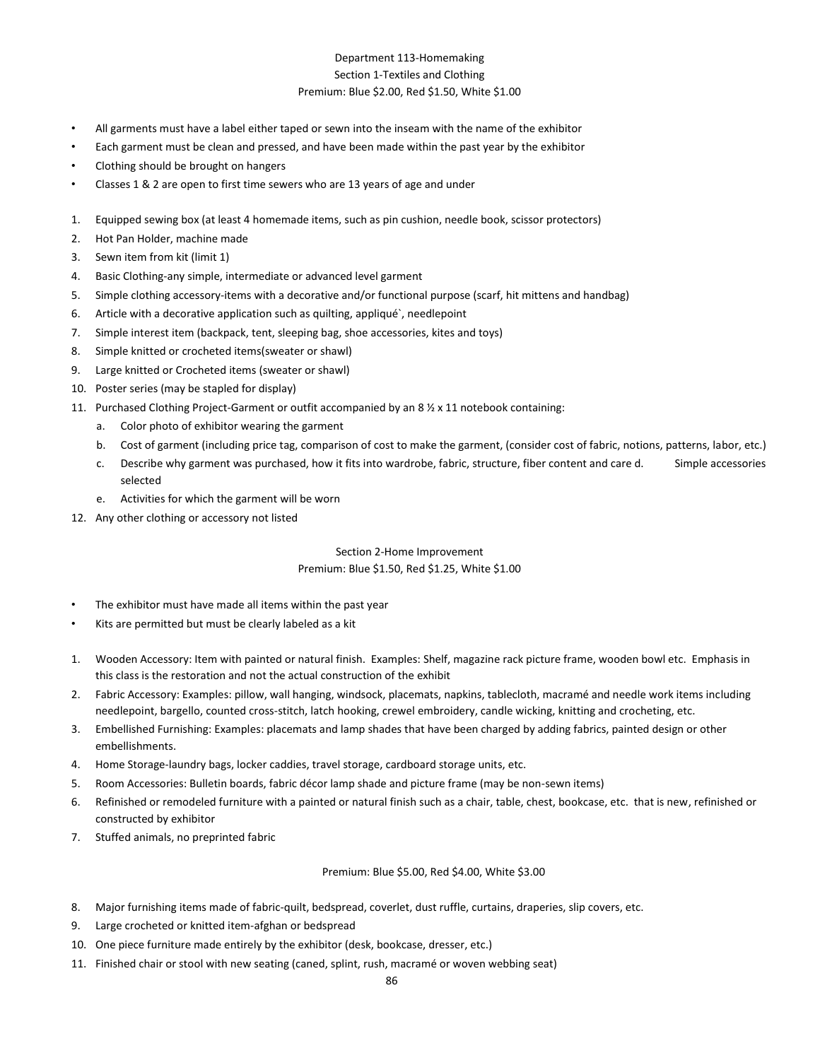## Department 113-Homemaking Section 1-Textiles and Clothing Premium: Blue \$2.00, Red \$1.50, White \$1.00

- All garments must have a label either taped or sewn into the inseam with the name of the exhibitor
- Each garment must be clean and pressed, and have been made within the past year by the exhibitor
- Clothing should be brought on hangers
- Classes 1 & 2 are open to first time sewers who are 13 years of age and under
- 1. Equipped sewing box (at least 4 homemade items, such as pin cushion, needle book, scissor protectors)
- 2. Hot Pan Holder, machine made
- 3. Sewn item from kit (limit 1)
- 4. Basic Clothing-any simple, intermediate or advanced level garment
- 5. Simple clothing accessory-items with a decorative and/or functional purpose (scarf, hit mittens and handbag)
- 6. Article with a decorative application such as quilting, appliqué`, needlepoint
- 7. Simple interest item (backpack, tent, sleeping bag, shoe accessories, kites and toys)
- 8. Simple knitted or crocheted items(sweater or shawl)
- 9. Large knitted or Crocheted items (sweater or shawl)
- 10. Poster series (may be stapled for display)
- 11. Purchased Clothing Project-Garment or outfit accompanied by an 8 ½ x 11 notebook containing:
	- a. Color photo of exhibitor wearing the garment
	- b. Cost of garment (including price tag, comparison of cost to make the garment, (consider cost of fabric, notions, patterns, labor, etc.)
	- c. Describe why garment was purchased, how it fits into wardrobe, fabric, structure, fiber content and care d. Simple accessories selected
	- e. Activities for which the garment will be worn
- 12. Any other clothing or accessory not listed

## Section 2-Home Improvement Premium: Blue \$1.50, Red \$1.25, White \$1.00

- The exhibitor must have made all items within the past year
- Kits are permitted but must be clearly labeled as a kit
- 1. Wooden Accessory: Item with painted or natural finish. Examples: Shelf, magazine rack picture frame, wooden bowl etc. Emphasis in this class is the restoration and not the actual construction of the exhibit
- 2. Fabric Accessory: Examples: pillow, wall hanging, windsock, placemats, napkins, tablecloth, macramé and needle work items including needlepoint, bargello, counted cross-stitch, latch hooking, crewel embroidery, candle wicking, knitting and crocheting, etc.
- 3. Embellished Furnishing: Examples: placemats and lamp shades that have been charged by adding fabrics, painted design or other embellishments.
- 4. Home Storage-laundry bags, locker caddies, travel storage, cardboard storage units, etc.
- 5. Room Accessories: Bulletin boards, fabric décor lamp shade and picture frame (may be non-sewn items)
- 6. Refinished or remodeled furniture with a painted or natural finish such as a chair, table, chest, bookcase, etc. that is new, refinished or constructed by exhibitor
- 7. Stuffed animals, no preprinted fabric

Premium: Blue \$5.00, Red \$4.00, White \$3.00

- 8. Major furnishing items made of fabric-quilt, bedspread, coverlet, dust ruffle, curtains, draperies, slip covers, etc.
- 9. Large crocheted or knitted item-afghan or bedspread
- 10. One piece furniture made entirely by the exhibitor (desk, bookcase, dresser, etc.)
- 11. Finished chair or stool with new seating (caned, splint, rush, macramé or woven webbing seat)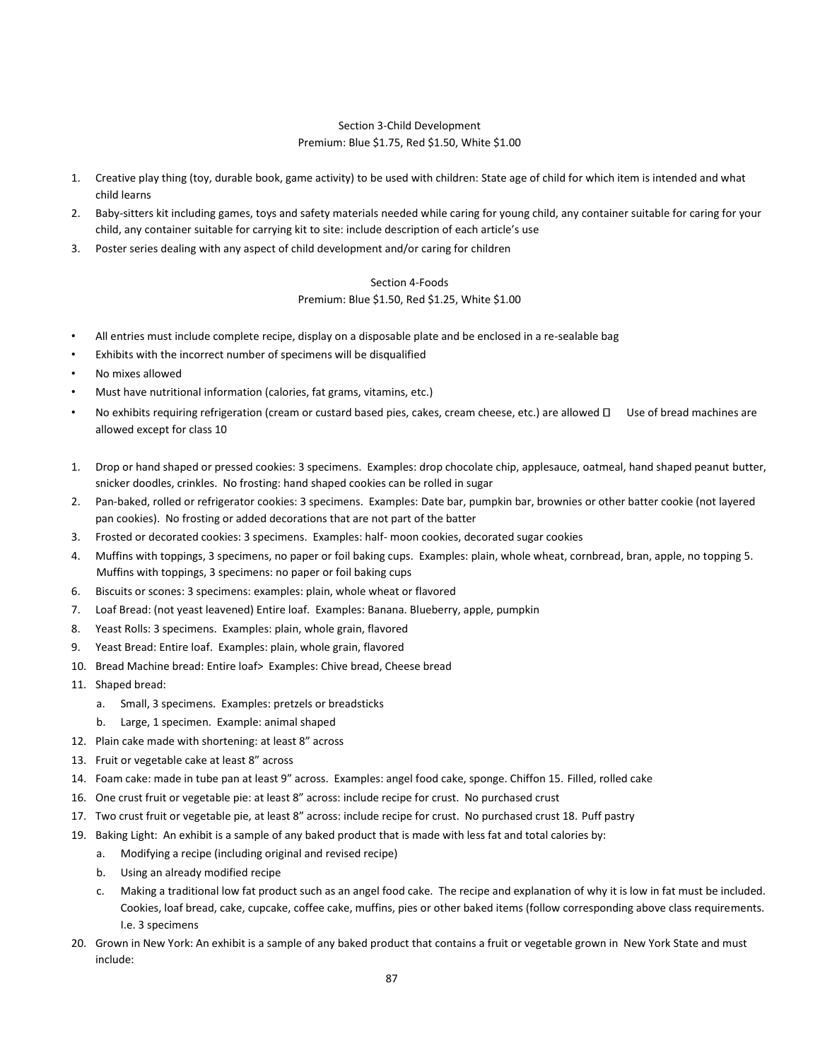## Section 3-Child Development Premium: Blue \$1.75, Red \$1.50, White \$1.00

- 1. Creative play thing (toy, durable book, game activity) to be used with children: State age of child for which item is intended and what child learns
- 2. Baby-sitters kit including games, toys and safety materials needed while caring for young child, any container suitable for caring for your child, any container suitable for carrying kit to site: include description of each article's use
- 3. Poster series dealing with any aspect of child development and/or caring for children

## Section 4-Foods Premium: Blue \$1.50, Red \$1.25, White \$1.00

- All entries must include complete recipe, display on a disposable plate and be enclosed in a re-sealable bag
- Exhibits with the incorrect number of specimens will be disqualified
- No mixes allowed
- Must have nutritional information (calories, fat grams, vitamins, etc.)
- No exhibits requiring refrigeration (cream or custard based pies, cakes, cream cheese, etc.) are allowed  $\Box$  Use of bread machines are allowed except for class 10
- 1. Drop or hand shaped or pressed cookies: 3 specimens. Examples: drop chocolate chip, applesauce, oatmeal, hand shaped peanut butter, snicker doodles, crinkles. No frosting: hand shaped cookies can be rolled in sugar
- 2. Pan-baked, rolled or refrigerator cookies: 3 specimens. Examples: Date bar, pumpkin bar, brownies or other batter cookie (not layered pan cookies). No frosting or added decorations that are not part of the batter
- 3. Frosted or decorated cookies: 3 specimens. Examples: half- moon cookies, decorated sugar cookies
- 4. Muffins with toppings, 3 specimens, no paper or foil baking cups. Examples: plain, whole wheat, cornbread, bran, apple, no topping 5. Muffins with toppings, 3 specimens: no paper or foil baking cups
- 6. Biscuits or scones: 3 specimens: examples: plain, whole wheat or flavored
- 7. Loaf Bread: (not yeast leavened) Entire loaf. Examples: Banana. Blueberry, apple, pumpkin
- 8. Yeast Rolls: 3 specimens. Examples: plain, whole grain, flavored
- 9. Yeast Bread: Entire loaf. Examples: plain, whole grain, flavored
- 10. Bread Machine bread: Entire loaf> Examples: Chive bread, Cheese bread
- 11. Shaped bread:
	- a. Small, 3 specimens. Examples: pretzels or breadsticks
	- b. Large, 1 specimen. Example: animal shaped
- 12. Plain cake made with shortening: at least 8" across
- 13. Fruit or vegetable cake at least 8" across
- 14. Foam cake: made in tube pan at least 9" across. Examples: angel food cake, sponge. Chiffon 15. Filled, rolled cake
- 16. One crust fruit or vegetable pie: at least 8" across: include recipe for crust. No purchased crust
- 17. Two crust fruit or vegetable pie, at least 8" across: include recipe for crust. No purchased crust 18. Puff pastry
- 19. Baking Light: An exhibit is a sample of any baked product that is made with less fat and total calories by:
	- a. Modifying a recipe (including original and revised recipe)
	- b. Using an already modified recipe
	- c. Making a traditional low fat product such as an angel food cake. The recipe and explanation of why it is low in fat must be included. Cookies, loaf bread, cake, cupcake, coffee cake, muffins, pies or other baked items (follow corresponding above class requirements. I.e. 3 specimens
- 20. Grown in New York: An exhibit is a sample of any baked product that contains a fruit or vegetable grown in New York State and must include: